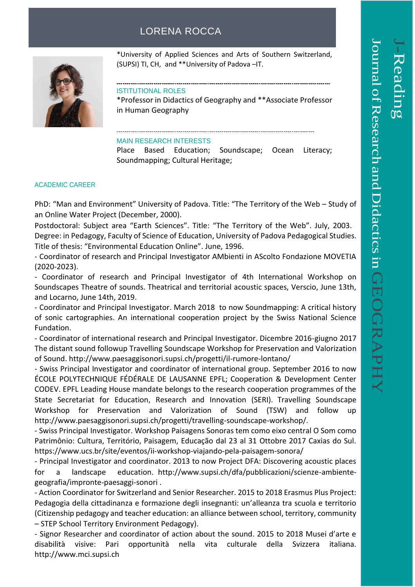## LORENA ROCCA



\*University of Applied Sciences and Arts of Southern Switzerland, (SUPSI) TI, CH, and \*\*University of Padova –IT.

\_\_\_\_\_\_\_\_\_\_\_\_\_\_\_\_\_\_\_\_\_\_\_\_

## ISTITUTIONAL ROLES

\*Professor in Didactics of Geography and \*\*Associate Professor in Human Geography

## MAIN RESEARCH INTERESTS

Place Based Education; Soundscape; Ocean Literacy; Soundmapping; Cultural Heritage;

## ACADEMIC CAREER

PhD: "Man and Environment" University of Padova. Title: "The Territory of the Web – Study of an Online Water Project (December, 2000).

Postdoctoral: Subject area "Earth Sciences". Title: "The Territory of the Web". July, 2003. Degree: in Pedagogy, Faculty of Science of Education, University of Padova Pedagogical Studies. Title of thesis: "Environmental Education Online". June, 1996.

- Coordinator of research and Principal Investigator AMbienti in AScolto Fondazione MOVETIA (2020-2023).

- Coordinator of research and Principal Investigator of 4th International Workshop on Soundscapes Theatre of sounds. Theatrical and territorial acoustic spaces, Verscio, June 13th, and Locarno, June 14th, 2019.

- Coordinator and Principal Investigator. March 2018 to now Soundmapping: A critical history of sonic cartographies. An international cooperation project by the Swiss National Science Fundation.

- Coordinator of international research and Principal Investigator. Dicembre 2016-giugno 2017 The distant sound followup Travelling Soundscape Workshop for Preservation and Valorization of Sound. http://www.paesaggisonori.supsi.ch/progetti/il-rumore-lontano/

- Swiss Principal Investigator and coordinator of international group. September 2016 to now ÉCOLE POLYTECHNIQUE FÉDÉRALE DE LAUSANNE EPFL; Cooperation & Development Center CODEV. EPFL Leading House mandate belongs to the research cooperation programmes of the State Secretariat for Education, Research and Innovation (SERI). Travelling Soundscape Workshop for Preservation and Valorization of Sound (TSW) and follow up http://www.paesaggisonori.supsi.ch/progetti/travelling-soundscape-workshop/.

- Swiss Principal Investigator. Workshop Paisagens Sonoras tem como eixo central O Som como Patrimônio: Cultura, Território, Paisagem, Educação dal 23 al 31 Ottobre 2017 Caxias do Sul. https://www.ucs.br/site/eventos/ii-workshop-viajando-pela-paisagem-sonora/

- Principal Investigator and coordinator. 2013 to now Project DFA: Discovering acoustic places for a landscape education. http://www.supsi.ch/dfa/pubblicazioni/scienze-ambientegeografia/impronte-paesaggi-sonori .

- Action Coordinator for Switzerland and Senior Researcher. 2015 to 2018 Erasmus Plus Project: Pedagogia della cittadinanza e formazione degli insegnanti: un'alleanza tra scuola e territorio (Citizenship pedagogy and teacher education: an alliance between school, territory, community – STEP School Territory Environment Pedagogy).

- Signor Researcher and coordinator of action about the sound. 2015 to 2018 Musei d'arte e disabilità visive: Pari opportunità nella vita culturale della Svizzera italiana. http://www.mci.supsi.ch

 $\overline{\phantom{a}}$ 

-Reading